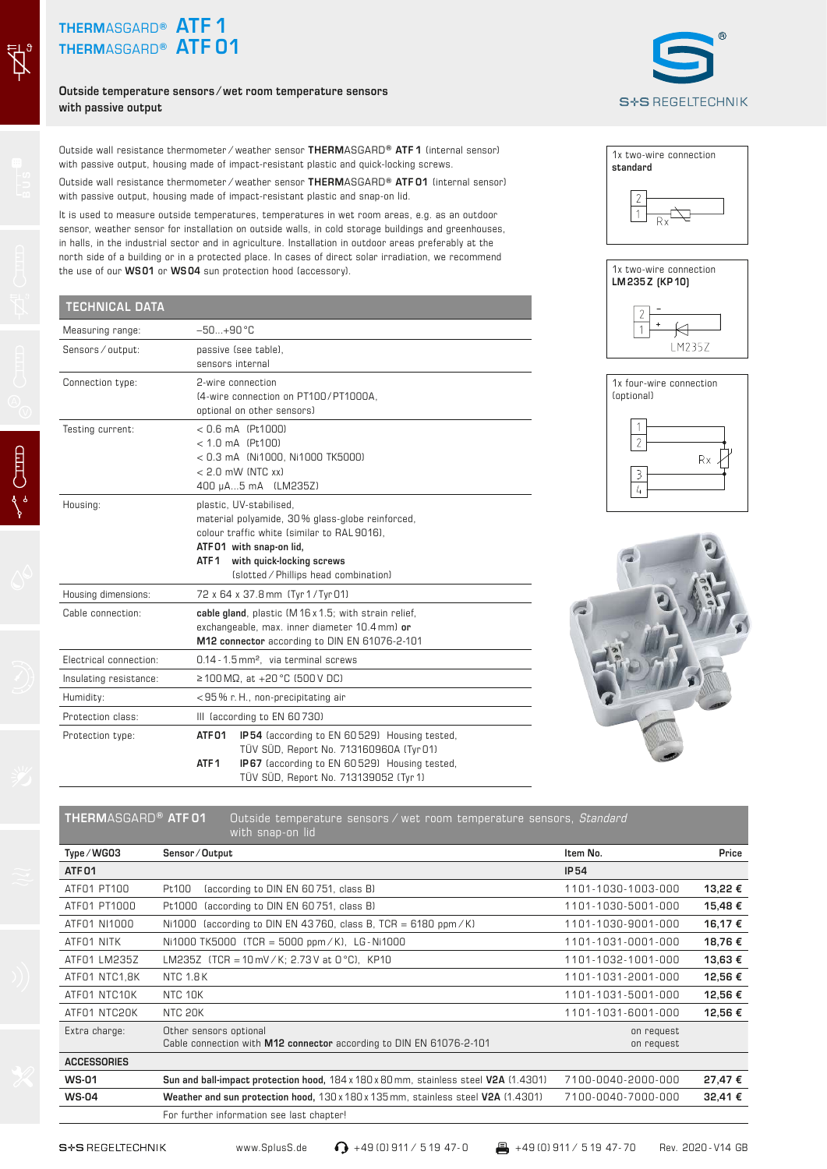## **THERM**ASGARD**® ATF 1 THERM**ASGARD**® ATF 01**

 $\vec{Z}$ 

**Outside temperature sensors ⁄ wet room temperature sensors with passive output**

Outside wall resistance thermometer ⁄ weather sensor **THERM**ASGARD**® ATF 1** (internal sensor) with passive output, housing made of impact-resistant plastic and quick-locking screws.

Outside wall resistance thermometer ⁄ weather sensor **THERM**ASGARD**® ATF 01** (internal sensor) with passive output, housing made of impact-resistant plastic and snap-on lid.

It is used to measure outside temperatures, temperatures in wet room areas, e.g. as an outdoor sensor, weather sensor for installation on outside walls, in cold storage buildings and greenhouses, in halls, in the industrial sector and in agriculture. Installation in outdoor areas preferably at the north side of a building or in a protected place. In cases of direct solar irradiation, we recommend the use of our **WS 01** or **WS 04** sun protection hood (accessory).

## **TECHNICAL DATA**

| Measuring range:       | $-50 + 90$ °C                                        |                                              |  |  |
|------------------------|------------------------------------------------------|----------------------------------------------|--|--|
| Sensors / output:      |                                                      | passive (see table),                         |  |  |
|                        | sensors internal                                     |                                              |  |  |
| Connection type:       | 2-wire connection                                    |                                              |  |  |
|                        |                                                      | (4-wire connection on PT100/PT1000A,         |  |  |
|                        |                                                      | optional on other sensors)                   |  |  |
| Testing current:       | $< 0.6$ mA (Pt1000)                                  |                                              |  |  |
|                        |                                                      | $< 1.0$ mA (Pt100)                           |  |  |
|                        |                                                      | < 0.3 mA (Ni1000, Ni1000 TK5000)             |  |  |
|                        |                                                      | $< 2.0$ mW (NTC xx)                          |  |  |
|                        |                                                      | 400 µA5 mA (LM235Z)                          |  |  |
| Housing:               | plastic, UV-stabilised,                              |                                              |  |  |
|                        | material polyamide, 30% glass-globe reinforced,      |                                              |  |  |
|                        |                                                      | colour traffic white (similar to RAL 9016),  |  |  |
|                        | ATF01 with snap-on lid,                              |                                              |  |  |
|                        | ATF 1                                                | with quick-locking screws                    |  |  |
|                        |                                                      | (slotted / Phillips head combination)        |  |  |
| Housing dimensions:    |                                                      | 72 x 64 x 37.8 mm (Tyr 1/Tyr 01)             |  |  |
| Cable connection:      | cable gland, plastic (M16 x 1.5; with strain relief, |                                              |  |  |
|                        | exchangeable, max. inner diameter 10.4 mm) or        |                                              |  |  |
|                        | M12 connector according to DIN EN 61076-2-101        |                                              |  |  |
| Electrical connection: | 0.14 - 1.5 mm <sup>2</sup> . via terminal screws     |                                              |  |  |
| Insulating resistance: | $\geq$ 100 MΩ, at +20 °C (500 V DC)                  |                                              |  |  |
| Humidity:              | <95% r.H., non-precipitating air                     |                                              |  |  |
| Protection class:      | III (according to EN 60730)                          |                                              |  |  |
| Protection type:       | ATF01                                                | IP54 (according to EN 60529) Housing tested, |  |  |
|                        |                                                      | TÜV SÜD, Report No. 713160960A (Tyr 01)      |  |  |
|                        | ATF <sub>1</sub>                                     | IP67 (according to EN 60529) Housing tested, |  |  |
|                        |                                                      | TÜV SÜD, Report No. 713139052 (Tyr 1)        |  |  |











## **THERM**ASGARD**® ATF 01** Outside temperature sensors ⁄ wet room temperature sensors, *Standard* with snap-on lid

| Type/WG03          | Sensor/Output                                                                                 | Item No.                 | Price   |
|--------------------|-----------------------------------------------------------------------------------------------|--------------------------|---------|
| ATF <sub>01</sub>  |                                                                                               | <b>IP54</b>              |         |
| ATF01 PT100        | Pt100<br>(according to DIN EN 60751, class B)                                                 | 1101-1030-1003-000       | 13,22 € |
| ATF01 PT1000       | (according to DIN EN 60751, class B)<br>Pt1000                                                | 1101-1030-5001-000       | 15,48€  |
| ATF01 NI1000       | (according to DIN EN 43760, class B, TCR = 6180 ppm/K)<br>Ni1000                              | 1101-1030-9001-000       | 16,17€  |
| ATFO1 NITK         | Ni1000 TK5000 $(TCR = 5000 ppm / K)$ , LG-Ni1000                                              | 1101-1031-0001-000       | 18,76€  |
| ATFO1 LM235Z       | LM235Z (TCR = 10 mV/K; 2.73V at 0 °C), KP10                                                   | 1101-1032-1001-000       | 13,63€  |
| ATF01 NTC1,8K      | <b>NTC 1.8K</b>                                                                               | 1101-1031-2001-000       | 12,56€  |
| ATF01 NTC10K       | NTC 10K                                                                                       | 1101-1031-5001-000       | 12,56€  |
| ATF01 NTC20K       | NTC 20K                                                                                       | 1101-1031-6001-000       | 12,56€  |
| Extra charge:      | Other sensors optional<br>Cable connection with M12 connector according to DIN EN 61076-2-101 | on request<br>on request |         |
| <b>ACCESSORIES</b> |                                                                                               |                          |         |
| <b>WS-01</b>       | Sun and ball-impact protection hood, 184 x 180 x 80 mm, stainless steel V2A (1.4301)          | 7100-0040-2000-000       | 27,47€  |
| <b>WS-04</b>       | Weather and sun protection hood, $130 \times 180 \times 135$ mm, stainless steel V2A (1.4301) | 7100-0040-7000-000       | 32,41€  |
|                    | For further information see last chapter!                                                     |                          |         |

S<sup>+</sup>S REGELTECHNIK